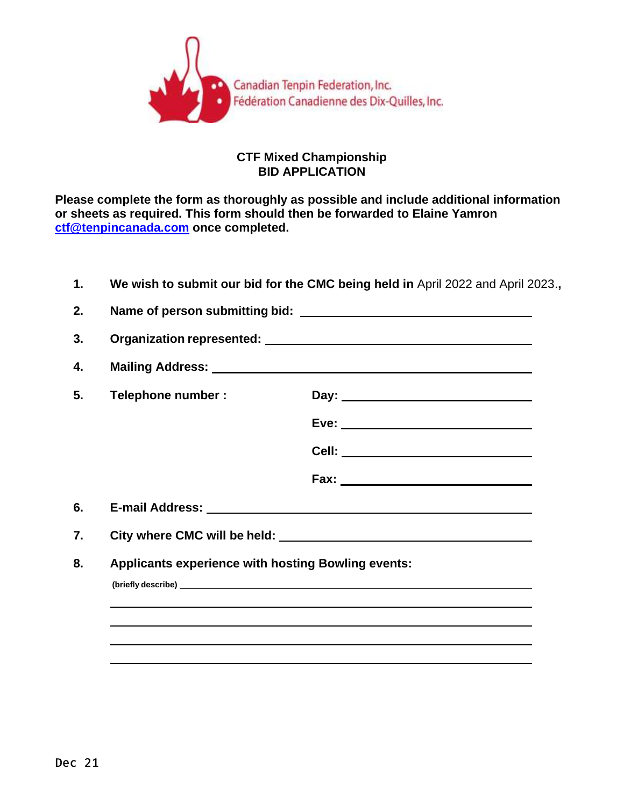

## **CTF Mixed Championship BID APPLICATION**

**Please complete the form as thoroughly as possible and include additional information or sheets as required. This form should then be forwarded to Elaine Yamron [ctf@tenpincanada.com](mailto:ctf@tenpincanada.com) once completed.**

| 1.             |                                                           | We wish to submit our bid for the CMC being held in April 2022 and April 2023., |  |
|----------------|-----------------------------------------------------------|---------------------------------------------------------------------------------|--|
| 2.             |                                                           |                                                                                 |  |
| 3.             |                                                           |                                                                                 |  |
| 4.             |                                                           |                                                                                 |  |
| 5.             | Telephone number :                                        | Day: ___________________________________                                        |  |
|                |                                                           |                                                                                 |  |
|                |                                                           | Cell: ________________________________                                          |  |
|                |                                                           |                                                                                 |  |
|                |                                                           |                                                                                 |  |
|                |                                                           |                                                                                 |  |
|                | <b>Applicants experience with hosting Bowling events:</b> |                                                                                 |  |
|                |                                                           |                                                                                 |  |
|                |                                                           |                                                                                 |  |
| 6.<br>7.<br>8. |                                                           |                                                                                 |  |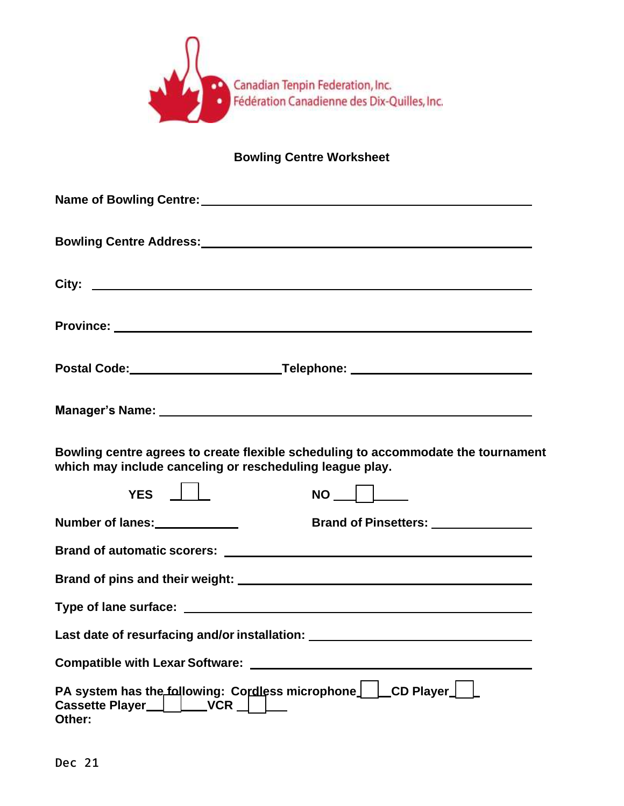

## **Bowling Centre Worksheet**

| Bowling Centre Address:<br><u>Bowling Centre Address:</u>                                                                                     |
|-----------------------------------------------------------------------------------------------------------------------------------------------|
| City: City:                                                                                                                                   |
|                                                                                                                                               |
| Postal Code: _______________________________Telephone: _________________________                                                              |
|                                                                                                                                               |
| Bowling centre agrees to create flexible scheduling to accommodate the tournament<br>which may include canceling or rescheduling league play. |
| YES    <br>$NO$ $\Box$                                                                                                                        |
| Number of lanes:<br><u> </u><br>Brand of Pinsetters: ______________                                                                           |
|                                                                                                                                               |
|                                                                                                                                               |
|                                                                                                                                               |
| Last date of resurfacing and/or installation: __________________________________                                                              |
| <b>Compatible with Lexar Software:</b>                                                                                                        |
| PA system has the following: Cordless microphone   LCD Player<br><b>Cassette Player</b><br><b>VCR</b><br>Other:                               |